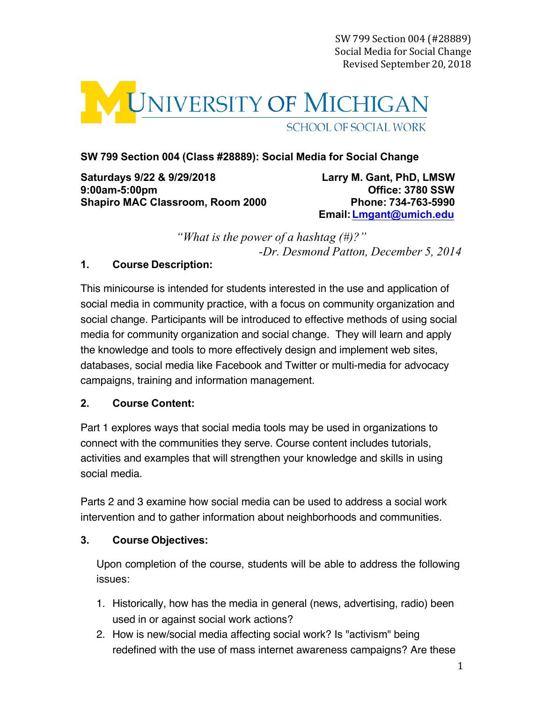SW 799 Section 004 (#28889) Social Media for Social Change Revised September 20, 2018 



# **SW 799 Section 004 (Class #28889): Social Media for Social Change**

**Saturdays 9/22 & 9/29/2018 9:00am-5:00pm Shapiro MAC Classroom, Room 2000 Phone: 734-763-5990**

**Larry M. Gant, PhD, LMSW Office: 3780 SSW Email:[Lmgant@umich.edu](mailto:Lmgant@umich.edu)**

*"What is the power of a hashtag (#)?" -Dr. Desmond Patton, December 5, 2014*

## **1. Course Description:**

This minicourse is intended for students interested in the use and application of social media in community practice, with a focus on community organization and social change. Participants will be introduced to effective methods of using social media for community organization and social change. They will learn and apply the knowledge and tools to more effectively design and implement web sites, databases, social media like Facebook and Twitter or multi-media for advocacy campaigns, training and information management.

## **2. Course Content:**

Part 1 explores ways that social media tools may be used in organizations to connect with the communities they serve. Course content includes tutorials, activities and examples that will strengthen your knowledge and skills in using social media.

Parts 2 and 3 examine how social media can be used to address a social work intervention and to gather information about neighborhoods and communities.

## **3. Course Objectives:**

Upon completion of the course, students will be able to address the following issues:

- 1. Historically, how has the media in general (news, advertising, radio) been used in or against social work actions?
- 2. How is new/social media affecting social work? Is "activism" being redefined with the use of mass internet awareness campaigns? Are these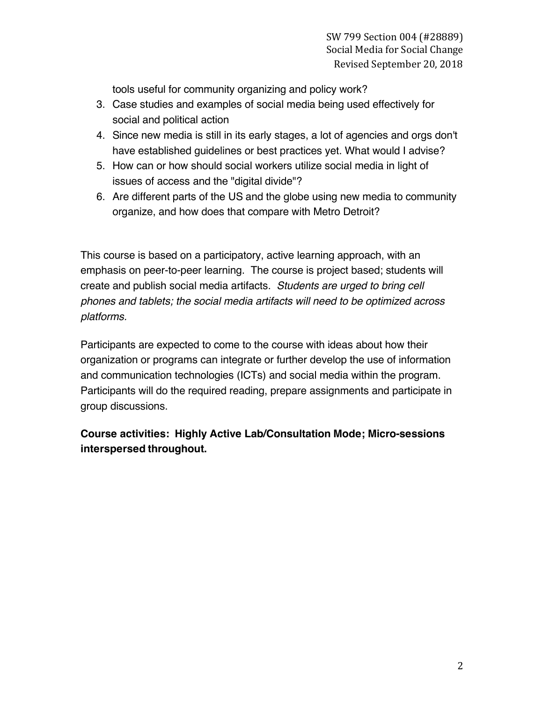tools useful for community organizing and policy work?

- 3. Case studies and examples of social media being used effectively for social and political action
- 4. Since new media is still in its early stages, a lot of agencies and orgs don't have established guidelines or best practices yet. What would I advise?
- 5. How can or how should social workers utilize social media in light of issues of access and the "digital divide"?
- 6. Are different parts of the US and the globe using new media to community organize, and how does that compare with Metro Detroit?

This course is based on a participatory, active learning approach, with an emphasis on peer-to-peer learning. The course is project based; students will create and publish social media artifacts. *Students are urged to bring cell phones and tablets; the social media artifacts will need to be optimized across platforms.*

Participants are expected to come to the course with ideas about how their organization or programs can integrate or further develop the use of information and communication technologies (ICTs) and social media within the program. Participants will do the required reading, prepare assignments and participate in group discussions.

# **Course activities: Highly Active Lab/Consultation Mode; Micro-sessions interspersed throughout.**